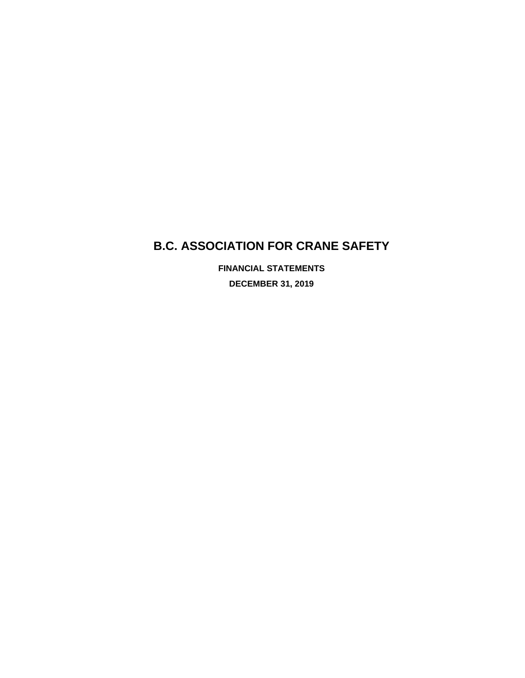# **B.C. ASSOCIATION FOR CRANE SAFETY**

**FINANCIAL STATEMENTS DECEMBER 31, 2019**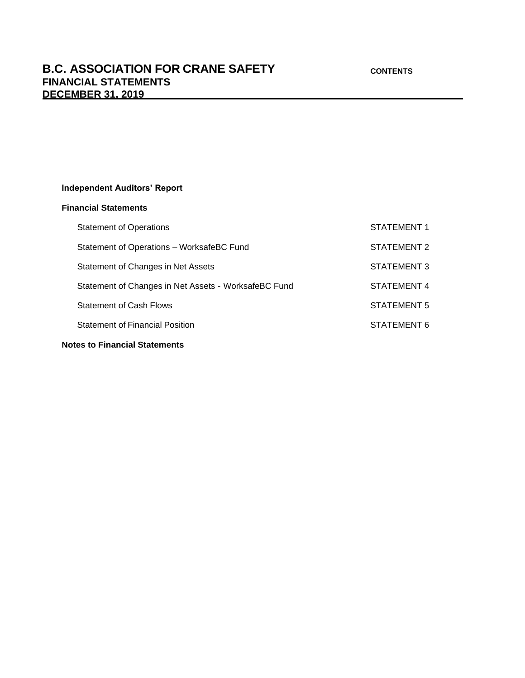## **Independent Auditors' Report**

## **Financial Statements**

| <b>Notes to Financial Statements</b>                 |             |
|------------------------------------------------------|-------------|
| <b>Statement of Financial Position</b>               | STATEMENT 6 |
| <b>Statement of Cash Flows</b>                       | STATEMENT 5 |
| Statement of Changes in Net Assets - WorksafeBC Fund | STATEMENT 4 |
| Statement of Changes in Net Assets                   | STATEMENT 3 |
| Statement of Operations - WorksafeBC Fund            | STATEMENT 2 |
| <b>Statement of Operations</b>                       | STATEMENT 1 |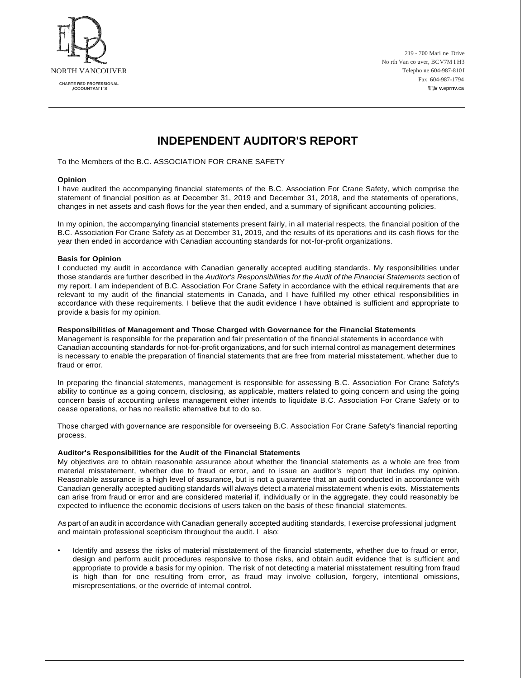

219 - 700 Mari ne Drive No rth Van co uver, BCV7M I H3 Telepho ne 604-987-810 I Fax 604-987-1794 **\\",lv v.eprnv.ca**

## **INDEPENDENT AUDITOR'S REPORT**

To the Members of the B.C. ASSOCIATION FOR CRANE SAFETY

#### **Opinion**

I have audited the accompanying financial statements of the B.C. Association For Crane Safety, which comprise the statement of financial position as at December 31, 2019 and December 31, 2018, and the statements of operations, changes in net assets and cash flows for the year then ended, and a summary of significant accounting policies.

In my opinion, the accompanying financial statements present fairly, in all material respects, the financial position of the B.C. Association For Crane Safety as at December 31, 2019, and the results of its operations and its cash flows for the year then ended in accordance with Canadian accounting standards for not-for-profit organizations.

#### **Basis for Opinion**

I conducted my audit in accordance with Canadian generally accepted auditing standards. My responsibilities under those standards are further described in the *Auditor's Responsibilities for the Audit of the Financial Statements* section of my report. I am independent of B.C. Association For Crane Safety in accordance with the ethical requirements that are relevant to my audit of the financial statements in Canada, and I have fulfilled my other ethical responsibilities in accordance with these requirements. I believe that the audit evidence I have obtained is sufficient and appropriate to provide a basis for my opinion.

#### **Responsibilities of Management and Those Charged with Governance for the Financial Statements**

Management is responsible for the preparation and fair presentation of the financial statements in accordance with Canadian accounting standards for not-for-profit organizations, and for such internal control as management determines is necessary to enable the preparation of financial statements that are free from material misstatement, whether due to fraud or error.

In preparing the financial statements, management is responsible for assessing B.C. Association For Crane Safety's ability to continue as a going concern, disclosing, as applicable, matters related to going concern and using the going concern basis of accounting unless management either intends to liquidate B.C. Association For Crane Safety or to cease operations, or has no realistic alternative but to do so.

Those charged with governance are responsible for overseeing B.C. Association For Crane Safety's financial reporting process.

#### **Auditor's Responsibilities for the Audit of the Financial Statements**

My objectives are to obtain reasonable assurance about whether the financial statements as a whole are free from material misstatement, whether due to fraud or error, and to issue an auditor's report that includes my opinion. Reasonable assurance is a high level of assurance, but is not a guarantee that an audit conducted in accordance with Canadian generally accepted auditing standards will always detect a material misstatement when is exits. Misstatements can arise from fraud or error and are considered material if, individually or in the aggregate, they could reasonably be expected to influence the economic decisions of users taken on the basis of these financial statements.

As part of an audit in accordance with Canadian generally accepted auditing standards, I exercise professional judgment and maintain professional scepticism throughout the audit. I also:

• Identify and assess the risks of material misstatement of the financial statements, whether due to fraud or error, design and perform audit procedures responsive to those risks, and obtain audit evidence that is sufficient and appropriate to provide a basis for my opinion. The risk of not detecting a material misstatement resulting from fraud is high than for one resulting from error, as fraud may involve collusion, forgery, intentional omissions, misrepresentations, or the override of internal control.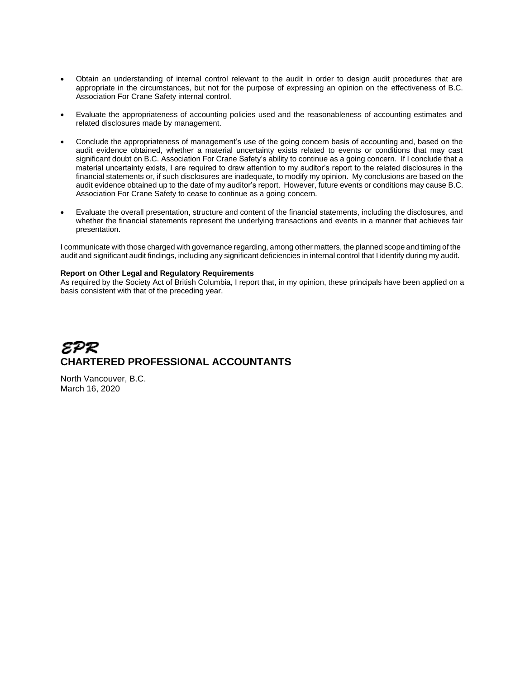- Obtain an understanding of internal control relevant to the audit in order to design audit procedures that are appropriate in the circumstances, but not for the purpose of expressing an opinion on the effectiveness of B.C. Association For Crane Safety internal control.
- Evaluate the appropriateness of accounting policies used and the reasonableness of accounting estimates and related disclosures made by management.
- Conclude the appropriateness of management's use of the going concern basis of accounting and, based on the audit evidence obtained, whether a material uncertainty exists related to events or conditions that may cast significant doubt on B.C. Association For Crane Safety's ability to continue as a going concern. If I conclude that a material uncertainty exists, I are required to draw attention to my auditor's report to the related disclosures in the financial statements or, if such disclosures are inadequate, to modify my opinion. My conclusions are based on the audit evidence obtained up to the date of my auditor's report. However, future events or conditions may cause B.C. Association For Crane Safety to cease to continue as a going concern.
- Evaluate the overall presentation, structure and content of the financial statements, including the disclosures, and whether the financial statements represent the underlying transactions and events in a manner that achieves fair presentation.

I communicate with those charged with governance regarding, among other matters, the planned scope and timing of the audit and significant audit findings, including any significant deficiencies in internal control that I identify during my audit.

#### **Report on Other Legal and Regulatory Requirements**

As required by the Society Act of British Columbia, I report that, in my opinion, these principals have been applied on a basis consistent with that of the preceding year.

# EPR **CHARTERED PROFESSIONAL ACCOUNTANTS**

North Vancouver, B.C. March 16, 2020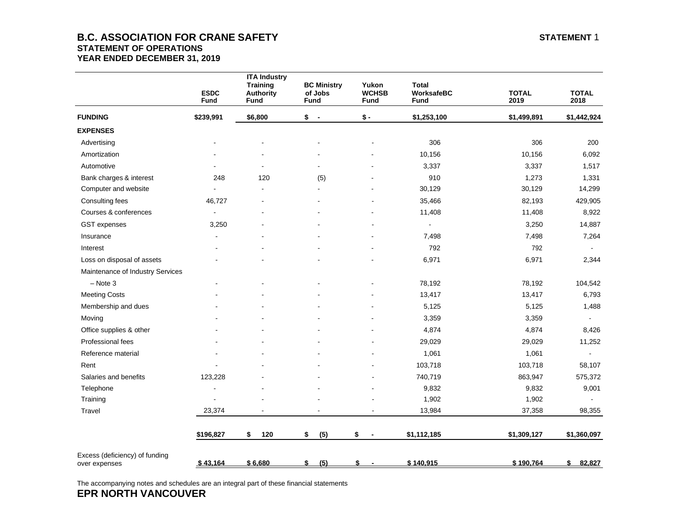## **B.C. ASSOCIATION FOR CRANE SAFETY STATEMENT 1 STATEMENT OF OPERATIONS YEAR ENDED DECEMBER 31, 2019**

|                                                 | <b>ESDC</b><br>Fund | <b>ITA Industry</b><br><b>Training</b><br><b>Authority</b><br><b>Fund</b> | <b>BC Ministry</b><br>of Jobs<br>Fund | Yukon<br><b>WCHSB</b><br><b>Fund</b> | <b>Total</b><br>WorksafeBC<br><b>Fund</b> | <b>TOTAL</b><br>2019 | <b>TOTAL</b><br>2018 |
|-------------------------------------------------|---------------------|---------------------------------------------------------------------------|---------------------------------------|--------------------------------------|-------------------------------------------|----------------------|----------------------|
| <b>FUNDING</b>                                  | \$239,991           | \$6,800                                                                   | \$<br>$\overline{\phantom{a}}$        | $$ -$                                | \$1,253,100                               | \$1,499,891          | \$1,442,924          |
| <b>EXPENSES</b>                                 |                     |                                                                           |                                       |                                      |                                           |                      |                      |
| Advertising                                     |                     |                                                                           |                                       |                                      | 306                                       | 306                  | 200                  |
| Amortization                                    |                     |                                                                           |                                       |                                      | 10,156                                    | 10,156               | 6,092                |
| Automotive                                      |                     |                                                                           |                                       |                                      | 3,337                                     | 3,337                | 1,517                |
| Bank charges & interest                         | 248                 | 120                                                                       | (5)                                   |                                      | 910                                       | 1,273                | 1,331                |
| Computer and website                            |                     |                                                                           |                                       |                                      | 30,129                                    | 30,129               | 14,299               |
| Consulting fees                                 | 46,727              |                                                                           |                                       |                                      | 35,466                                    | 82,193               | 429,905              |
| Courses & conferences                           |                     |                                                                           |                                       |                                      | 11,408                                    | 11,408               | 8,922                |
| GST expenses                                    | 3,250               |                                                                           |                                       |                                      | $\sim$                                    | 3,250                | 14,887               |
| Insurance                                       | $\overline{a}$      |                                                                           |                                       |                                      | 7,498                                     | 7,498                | 7,264                |
| Interest                                        |                     |                                                                           |                                       |                                      | 792                                       | 792                  |                      |
| Loss on disposal of assets                      |                     |                                                                           |                                       |                                      | 6,971                                     | 6,971                | 2,344                |
| Maintenance of Industry Services                |                     |                                                                           |                                       |                                      |                                           |                      |                      |
| $-$ Note 3                                      |                     |                                                                           |                                       |                                      | 78,192                                    | 78,192               | 104,542              |
| <b>Meeting Costs</b>                            |                     |                                                                           |                                       |                                      | 13,417                                    | 13,417               | 6,793                |
| Membership and dues                             |                     |                                                                           |                                       |                                      | 5,125                                     | 5,125                | 1,488                |
| Moving                                          |                     |                                                                           |                                       |                                      | 3,359                                     | 3,359                | $\blacksquare$       |
| Office supplies & other                         |                     |                                                                           |                                       |                                      | 4,874                                     | 4,874                | 8,426                |
| Professional fees                               |                     |                                                                           |                                       |                                      | 29,029                                    | 29,029               | 11,252               |
| Reference material                              |                     |                                                                           |                                       |                                      | 1,061                                     | 1,061                |                      |
| Rent                                            |                     |                                                                           |                                       |                                      | 103,718                                   | 103,718              | 58,107               |
| Salaries and benefits                           | 123,228             |                                                                           |                                       |                                      | 740,719                                   | 863,947              | 575,372              |
| Telephone                                       |                     |                                                                           |                                       |                                      | 9,832                                     | 9,832                | 9,001                |
| Training                                        |                     |                                                                           |                                       |                                      | 1,902                                     | 1,902                |                      |
| Travel                                          | 23,374              |                                                                           |                                       |                                      | 13,984                                    | 37,358               | 98,355               |
|                                                 | \$196,827           | \$<br>120                                                                 | \$<br>(5)                             | \$<br>$\overline{\phantom{a}}$       | \$1,112,185                               | \$1,309,127          | \$1,360,097          |
| Excess (deficiency) of funding<br>over expenses | \$43,164            | \$6,680                                                                   | (5)<br>\$                             | \$                                   | \$140,915                                 | \$190,764            | \$<br>82,827         |

The accompanying notes and schedules are an integral part of these financial statements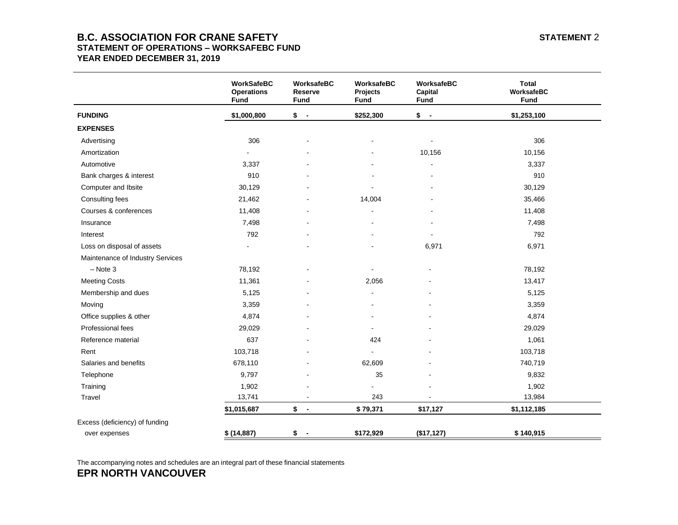## **B.C. ASSOCIATION FOR CRANE SAFETY STATEMENT 2 STATEMENT OF OPERATIONS – WORKSAFEBC FUND YEAR ENDED DECEMBER 31, 2019**

|                                  | <b>WorkSafeBC</b><br><b>Operations</b><br>Fund | WorksafeBC<br><b>Reserve</b><br><b>Fund</b> | WorksafeBC<br>Projects<br><b>Fund</b> | WorksafeBC<br>Capital<br>Fund  | <b>Total</b><br>WorksafeBC<br>Fund |
|----------------------------------|------------------------------------------------|---------------------------------------------|---------------------------------------|--------------------------------|------------------------------------|
| <b>FUNDING</b>                   | \$1,000,800                                    | $$ -$                                       | \$252,300                             | \$<br>$\overline{\phantom{a}}$ | \$1,253,100                        |
| <b>EXPENSES</b>                  |                                                |                                             |                                       |                                |                                    |
| Advertising                      | 306                                            |                                             |                                       | $\blacksquare$                 | 306                                |
| Amortization                     |                                                |                                             |                                       | 10,156                         | 10,156                             |
| Automotive                       | 3,337                                          |                                             |                                       |                                | 3,337                              |
| Bank charges & interest          | 910                                            |                                             |                                       |                                | 910                                |
| Computer and Ibsite              | 30,129                                         |                                             |                                       |                                | 30,129                             |
| Consulting fees                  | 21,462                                         |                                             | 14,004                                |                                | 35,466                             |
| Courses & conferences            | 11,408                                         |                                             |                                       |                                | 11,408                             |
| Insurance                        | 7,498                                          |                                             |                                       |                                | 7,498                              |
| Interest                         | 792                                            |                                             |                                       |                                | 792                                |
| Loss on disposal of assets       | L,                                             |                                             |                                       | 6,971                          | 6,971                              |
| Maintenance of Industry Services |                                                |                                             |                                       |                                |                                    |
| $-$ Note 3                       | 78,192                                         |                                             |                                       |                                | 78,192                             |
| <b>Meeting Costs</b>             | 11,361                                         |                                             | 2,056                                 |                                | 13,417                             |
| Membership and dues              | 5,125                                          |                                             | $\blacksquare$                        |                                | 5,125                              |
| Moving                           | 3,359                                          |                                             |                                       |                                | 3,359                              |
| Office supplies & other          | 4,874                                          |                                             |                                       |                                | 4,874                              |
| Professional fees                | 29,029                                         |                                             |                                       |                                | 29,029                             |
| Reference material               | 637                                            |                                             | 424                                   |                                | 1,061                              |
| Rent                             | 103,718                                        |                                             |                                       |                                | 103,718                            |
| Salaries and benefits            | 678,110                                        |                                             | 62,609                                |                                | 740,719                            |
| Telephone                        | 9,797                                          |                                             | 35                                    |                                | 9,832                              |
| Training                         | 1,902                                          |                                             |                                       |                                | 1,902                              |
| Travel                           | 13,741                                         |                                             | 243                                   |                                | 13,984                             |
|                                  | \$1,015,687                                    | $$ -$                                       | \$79,371                              | \$17,127                       | \$1,112,185                        |
| Excess (deficiency) of funding   |                                                |                                             |                                       |                                |                                    |
| over expenses                    | \$ (14,887)                                    | $$ -$                                       | \$172,929                             | (\$17, 127)                    | \$140,915                          |

The accompanying notes and schedules are an integral part of these financial statements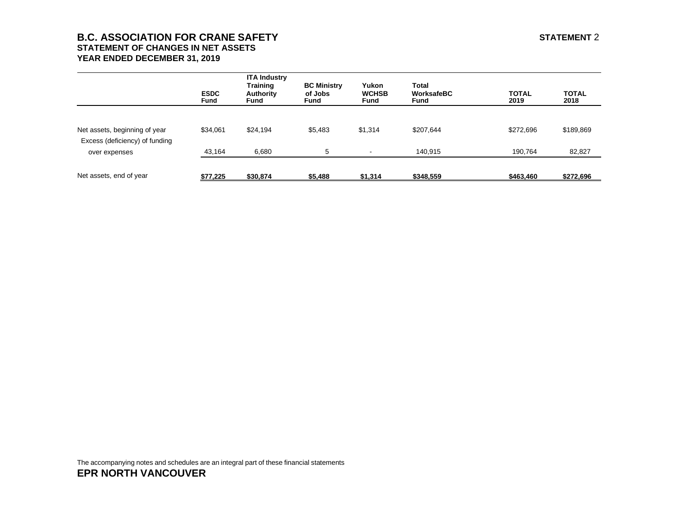## **B.C. ASSOCIATION FOR CRANE SAFETY STATEMENT 2 STATEMENT OF CHANGES IN NET ASSETS YEAR ENDED DECEMBER 31, 2019**

|                                                                 | <b>ESDC</b><br><b>Fund</b> | <b>ITA Industry</b><br><b>Training</b><br>Authority<br>Fund | <b>BC Ministry</b><br>of Jobs<br><b>Fund</b> | Yukon<br><b>WCHSB</b><br><b>Fund</b> | <b>Total</b><br>WorksafeBC<br><b>Fund</b> | <b>TOTAL</b><br>2019 | <b>TOTAL</b><br>2018 |
|-----------------------------------------------------------------|----------------------------|-------------------------------------------------------------|----------------------------------------------|--------------------------------------|-------------------------------------------|----------------------|----------------------|
| Net assets, beginning of year<br>Excess (deficiency) of funding | \$34,061                   | \$24,194                                                    | \$5,483                                      | \$1,314                              | \$207,644                                 | \$272,696            | \$189,869            |
| over expenses                                                   | 43,164                     | 6,680                                                       | 5                                            | $\sim$                               | 140.915                                   | 190,764              | 82,827               |
| Net assets, end of year                                         | \$77,225                   | \$30,874                                                    | \$5,488                                      | \$1,314                              | \$348,559                                 | \$463,460            | \$272,696            |

The accompanying notes and schedules are an integral part of these financial statements **EPR NORTH VANCOUVER**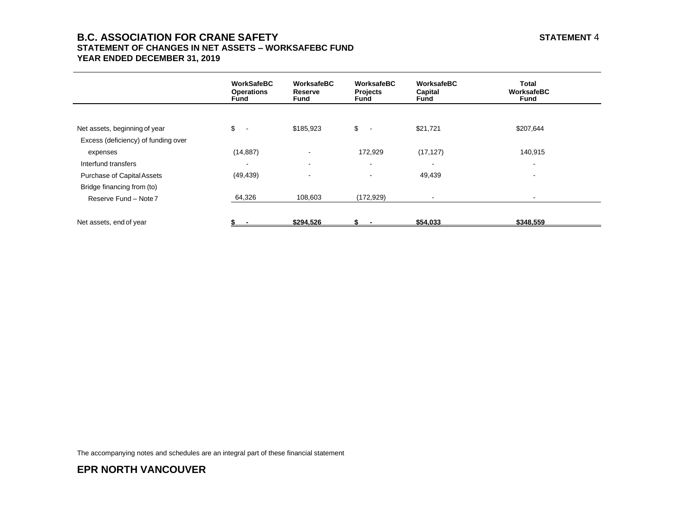## **B.C. ASSOCIATION FOR CRANE SAFETY STATEMENT 4 STATEMENT OF CHANGES IN NET ASSETS – WORKSAFEBC FUND YEAR ENDED DECEMBER 31, 2019**

|                                     | WorkSafeBC<br><b>Operations</b><br>Fund | WorksafeBC<br>Reserve<br>Fund | WorksafeBC<br><b>Projects</b><br>Fund | WorksafeBC<br>Capital<br>Fund | <b>Total</b><br>WorksafeBC<br>Fund |
|-------------------------------------|-----------------------------------------|-------------------------------|---------------------------------------|-------------------------------|------------------------------------|
|                                     |                                         |                               |                                       |                               |                                    |
| Net assets, beginning of year       | \$<br>$\sim$                            | \$185,923                     | \$<br>$\sim$ $-$                      | \$21,721                      | \$207,644                          |
| Excess (deficiency) of funding over |                                         |                               |                                       |                               |                                    |
| expenses                            | (14, 887)                               | $\sim$                        | 172,929                               | (17, 127)                     | 140,915                            |
| Interfund transfers                 | $\overline{\phantom{a}}$                | $\overline{\phantom{a}}$      | $\blacksquare$                        |                               | $\overline{\phantom{0}}$           |
| <b>Purchase of Capital Assets</b>   | (49, 439)                               |                               | $\overline{\phantom{a}}$              | 49,439                        |                                    |
| Bridge financing from (to)          |                                         |                               |                                       |                               |                                    |
| Reserve Fund - Note 7               | 64,326                                  | 108,603                       | (172, 929)                            |                               | $\blacksquare$                     |
|                                     |                                         |                               |                                       |                               |                                    |
| Net assets, end of year             |                                         | \$294,526                     |                                       | \$54,033                      | \$348,559                          |

The accompanying notes and schedules are an integral part of these financial statement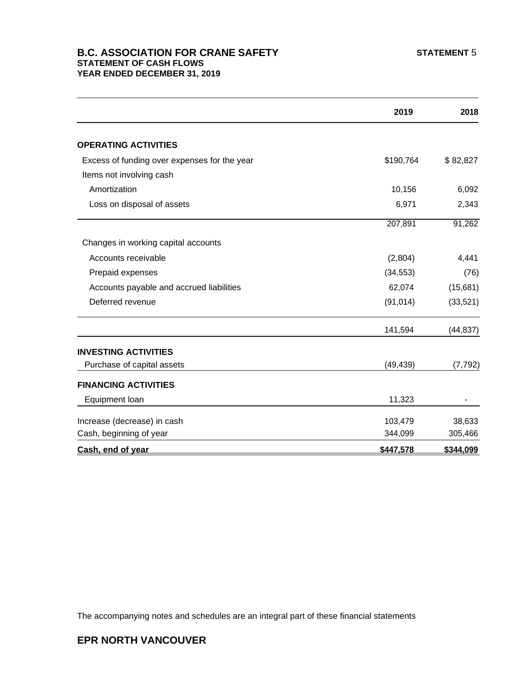## **B.C. ASSOCIATION FOR CRANE SAFETY** STATEMENT 5 **STATEMENT OF CASH FLOWS YEAR ENDED DECEMBER 31, 2019**

|                                              | 2019      | 2018      |
|----------------------------------------------|-----------|-----------|
| <b>OPERATING ACTIVITIES</b>                  |           |           |
| Excess of funding over expenses for the year | \$190,764 | \$82,827  |
| Items not involving cash                     |           |           |
| Amortization                                 | 10,156    | 6,092     |
| Loss on disposal of assets                   | 6,971     | 2,343     |
|                                              | 207,891   | 91,262    |
| Changes in working capital accounts          |           |           |
| Accounts receivable                          | (2,804)   | 4,441     |
| Prepaid expenses                             | (34, 553) | (76)      |
| Accounts payable and accrued liabilities     | 62,074    | (15,681)  |
| Deferred revenue                             | (91, 014) | (33,521)  |
|                                              | 141,594   | (44, 837) |
| <b>INVESTING ACTIVITIES</b>                  |           |           |
| Purchase of capital assets                   | (49, 439) | (7, 792)  |
| <b>FINANCING ACTIVITIES</b>                  |           |           |
| Equipment loan                               | 11,323    |           |
| Increase (decrease) in cash                  | 103,479   | 38,633    |
| Cash, beginning of year                      | 344,099   | 305,466   |
| Cash, end of year                            | \$447,578 | \$344,099 |

The accompanying notes and schedules are an integral part of these financial statements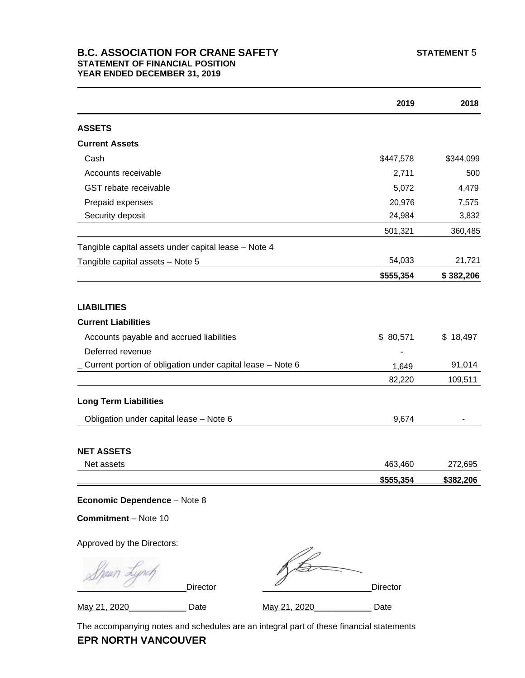## **B.C. ASSOCIATION FOR CRANE SAFETY** STATEMENT 5 **STATEMENT OF FINANCIAL POSITION YEAR ENDED DECEMBER 31, 2019**

|                                                            | 2019      | 2018      |
|------------------------------------------------------------|-----------|-----------|
| <b>ASSETS</b>                                              |           |           |
| <b>Current Assets</b>                                      |           |           |
| Cash                                                       | \$447,578 | \$344,099 |
| Accounts receivable                                        | 2,711     | 500       |
| GST rebate receivable                                      | 5,072     | 4,479     |
| Prepaid expenses                                           | 20,976    | 7,575     |
| Security deposit                                           | 24,984    | 3,832     |
|                                                            | 501,321   | 360,485   |
| Tangible capital assets under capital lease - Note 4       |           |           |
| Tangible capital assets - Note 5                           | 54,033    | 21,721    |
|                                                            | \$555,354 | \$382,206 |
| <b>LIABILITIES</b><br><b>Current Liabilities</b>           |           |           |
| Accounts payable and accrued liabilities                   | \$80,571  | \$18,497  |
| Deferred revenue                                           |           |           |
| Current portion of obligation under capital lease - Note 6 | 1,649     | 91,014    |
|                                                            | 82,220    | 109,511   |
| <b>Long Term Liabilities</b>                               |           |           |
| Obligation under capital lease - Note 6                    | 9,674     |           |
|                                                            |           |           |
| <b>NET ASSETS</b>                                          |           |           |
| Net assets                                                 | 463,460   | 272,695   |

**Commitment** – Note 10

Approved by the Directors:

| $\frac{1}{2}$ |                 |              |          |
|---------------|-----------------|--------------|----------|
|               | <b>Director</b> |              | Director |
| May 21, 2020  | Date            | May 21, 2020 | Date     |

The accompanying notes and schedules are an integral part of these financial statements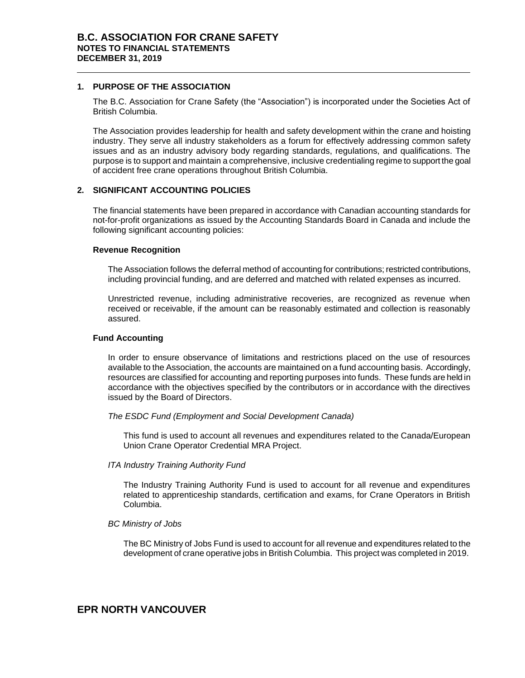#### **1. PURPOSE OF THE ASSOCIATION**

The B.C. Association for Crane Safety (the "Association") is incorporated under the Societies Act of British Columbia.

The Association provides leadership for health and safety development within the crane and hoisting industry. They serve all industry stakeholders as a forum for effectively addressing common safety issues and as an industry advisory body regarding standards, regulations, and qualifications. The purpose is to support and maintain a comprehensive, inclusive credentialing regime to support the goal of accident free crane operations throughout British Columbia.

### **2. SIGNIFICANT ACCOUNTING POLICIES**

The financial statements have been prepared in accordance with Canadian accounting standards for not-for-profit organizations as issued by the Accounting Standards Board in Canada and include the following significant accounting policies:

#### **Revenue Recognition**

The Association follows the deferral method of accounting for contributions; restricted contributions, including provincial funding, and are deferred and matched with related expenses as incurred.

Unrestricted revenue, including administrative recoveries, are recognized as revenue when received or receivable, if the amount can be reasonably estimated and collection is reasonably assured.

#### **Fund Accounting**

In order to ensure observance of limitations and restrictions placed on the use of resources available to the Association, the accounts are maintained on a fund accounting basis. Accordingly, resources are classified for accounting and reporting purposes into funds. These funds are held in accordance with the objectives specified by the contributors or in accordance with the directives issued by the Board of Directors.

#### *The ESDC Fund (Employment and Social Development Canada)*

This fund is used to account all revenues and expenditures related to the Canada/European Union Crane Operator Credential MRA Project.

#### *ITA Industry Training Authority Fund*

The Industry Training Authority Fund is used to account for all revenue and expenditures related to apprenticeship standards, certification and exams, for Crane Operators in British Columbia.

#### *BC Ministry of Jobs*

The BC Ministry of Jobs Fund is used to account for all revenue and expenditures related to the development of crane operative jobs in British Columbia. This project was completed in 2019.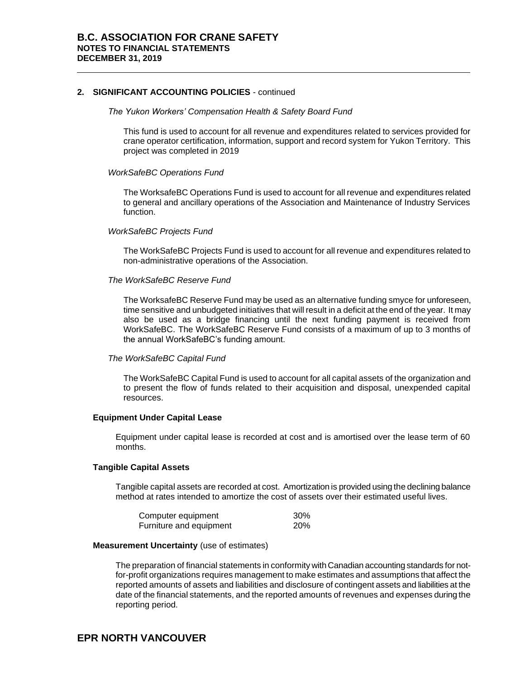#### **2. SIGNIFICANT ACCOUNTING POLICIES** - continued

#### *The Yukon Workers' Compensation Health & Safety Board Fund*

This fund is used to account for all revenue and expenditures related to services provided for crane operator certification, information, support and record system for Yukon Territory. This project was completed in 2019

#### *WorkSafeBC Operations Fund*

The WorksafeBC Operations Fund is used to account for all revenue and expenditures related to general and ancillary operations of the Association and Maintenance of Industry Services function.

#### *WorkSafeBC Projects Fund*

The WorkSafeBC Projects Fund is used to account for all revenue and expenditures related to non-administrative operations of the Association.

#### *The WorkSafeBC Reserve Fund*

The WorksafeBC Reserve Fund may be used as an alternative funding smyce for unforeseen, time sensitive and unbudgeted initiatives that will result in a deficit at the end of the year. It may also be used as a bridge financing until the next funding payment is received from WorkSafeBC. The WorkSafeBC Reserve Fund consists of a maximum of up to 3 months of the annual WorkSafeBC's funding amount.

#### *The WorkSafeBC Capital Fund*

The WorkSafeBC Capital Fund is used to account for all capital assets of the organization and to present the flow of funds related to their acquisition and disposal, unexpended capital resources.

#### **Equipment Under Capital Lease**

Equipment under capital lease is recorded at cost and is amortised over the lease term of 60 months.

#### **Tangible Capital Assets**

Tangible capital assets are recorded at cost. Amortization is provided using the declining balance method at rates intended to amortize the cost of assets over their estimated useful lives.

| Computer equipment      | 30%        |
|-------------------------|------------|
| Furniture and equipment | <b>20%</b> |

#### **Measurement Uncertainty** (use of estimates)

The preparation of financial statements in conformity with Canadian accounting standards for notfor-profit organizations requires management to make estimates and assumptions that affect the reported amounts of assets and liabilities and disclosure of contingent assets and liabilities at the date of the financial statements, and the reported amounts of revenues and expenses during the reporting period.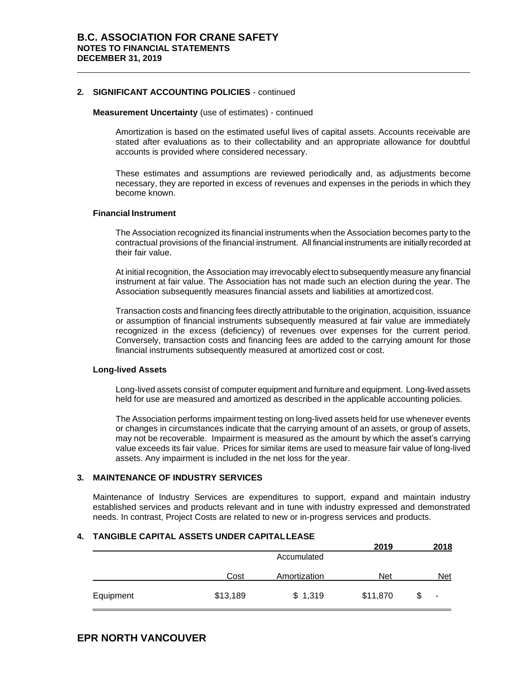#### **2. SIGNIFICANT ACCOUNTING POLICIES** - continued

#### **Measurement Uncertainty** (use of estimates) - continued

Amortization is based on the estimated useful lives of capital assets. Accounts receivable are stated after evaluations as to their collectability and an appropriate allowance for doubtful accounts is provided where considered necessary.

These estimates and assumptions are reviewed periodically and, as adjustments become necessary, they are reported in excess of revenues and expenses in the periods in which they become known.

#### **Financial Instrument**

The Association recognized its financial instruments when the Association becomes party to the contractual provisions of the financial instrument. All financial instruments are initially recorded at their fair value.

At initial recognition, the Association may irrevocably elect to subsequently measure any financial instrument at fair value. The Association has not made such an election during the year. The Association subsequently measures financial assets and liabilities at amortized cost.

Transaction costs and financing fees directly attributable to the origination, acquisition, issuance or assumption of financial instruments subsequently measured at fair value are immediately recognized in the excess (deficiency) of revenues over expenses for the current period. Conversely, transaction costs and financing fees are added to the carrying amount for those financial instruments subsequently measured at amortized cost or cost.

#### **Long-lived Assets**

Long-lived assets consist of computer equipment and furniture and equipment. Long-lived assets held for use are measured and amortized as described in the applicable accounting policies.

The Association performs impairment testing on long-lived assets held for use whenever events or changes in circumstances indicate that the carrying amount of an assets, or group of assets, may not be recoverable. Impairment is measured as the amount by which the asset's carrying value exceeds its fair value. Prices for similar items are used to measure fair value of long-lived assets. Any impairment is included in the net loss for the year.

#### **3. MAINTENANCE OF INDUSTRY SERVICES**

Maintenance of Industry Services are expenditures to support, expand and maintain industry established services and products relevant and in tune with industry expressed and demonstrated needs. In contrast, Project Costs are related to new or in-progress services and products.

#### **4. TANGIBLE CAPITAL ASSETS UNDER CAPITALLEASE**

|           |          |              | 2019       | 2018       |
|-----------|----------|--------------|------------|------------|
|           |          | Accumulated  |            |            |
|           | Cost     | Amortization | <b>Net</b> | <b>Net</b> |
| Equipment | \$13,189 | \$1,319      | \$11,870   | ٠          |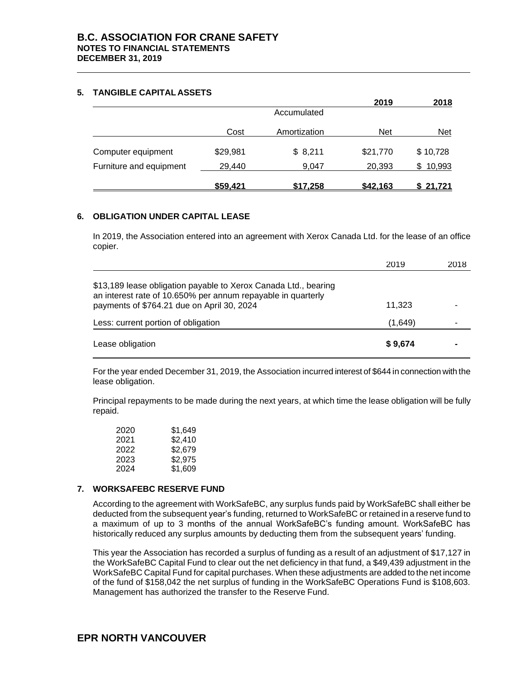#### **5. TANGIBLE CAPITAL ASSETS**

|                         |          |                 | 2019     | 2018          |
|-------------------------|----------|-----------------|----------|---------------|
|                         |          | Accumulated     |          |               |
|                         | Cost     | Amortization    | Net      | <b>Net</b>    |
| Computer equipment      | \$29,981 | \$8,211         | \$21,770 | \$10,728      |
| Furniture and equipment | 29,440   | 9.047           | 20,393   | 10,993<br>S.  |
|                         | \$59,421 | <u>\$17,258</u> | \$42,163 | <u>21,721</u> |

### **6. OBLIGATION UNDER CAPITAL LEASE**

In 2019, the Association entered into an agreement with Xerox Canada Ltd. for the lease of an office copier.

|                                                                                                                                                                               | 2019    | 2018 |
|-------------------------------------------------------------------------------------------------------------------------------------------------------------------------------|---------|------|
| \$13,189 lease obligation payable to Xerox Canada Ltd., bearing<br>an interest rate of 10.650% per annum repayable in quarterly<br>payments of \$764.21 due on April 30, 2024 | 11,323  |      |
| Less: current portion of obligation                                                                                                                                           | (1,649) |      |
| Lease obligation                                                                                                                                                              | \$9,674 |      |

For the year ended December 31, 2019, the Association incurred interest of \$644 in connection with the lease obligation.

Principal repayments to be made during the next years, at which time the lease obligation will be fully repaid.

| 2020 | \$1,649 |
|------|---------|
| 2021 | \$2,410 |
| 2022 | \$2.679 |
| 2023 | \$2.975 |
| 2024 | \$1,609 |

#### **7. WORKSAFEBC RESERVE FUND**

According to the agreement with WorkSafeBC, any surplus funds paid by WorkSafeBC shall either be deducted from the subsequent year's funding, returned to WorkSafeBC or retained in a reserve fund to a maximum of up to 3 months of the annual WorkSafeBC's funding amount. WorkSafeBC has historically reduced any surplus amounts by deducting them from the subsequent years' funding.

This year the Association has recorded a surplus of funding as a result of an adjustment of \$17,127 in the WorkSafeBC Capital Fund to clear out the net deficiency in that fund, a \$49,439 adjustment in the WorkSafeBC Capital Fund for capital purchases. When these adjustments are added to the net income of the fund of \$158,042 the net surplus of funding in the WorkSafeBC Operations Fund is \$108,603. Management has authorized the transfer to the Reserve Fund.